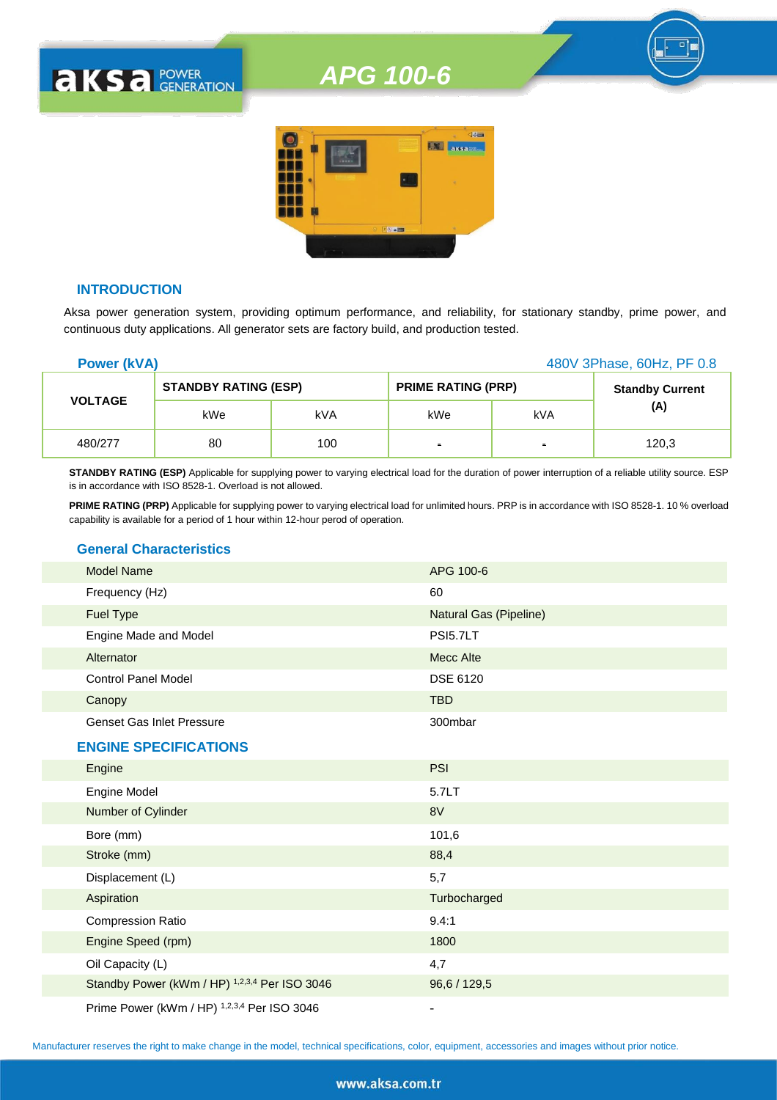

#### **INTRODUCTION**

**AKSA POWER** 

Aksa power generation system, providing optimum performance, and reliability, for stationary standby, prime power, and continuous duty applications. All generator sets are factory build, and production tested.

| <b>Power (kVA)</b> |                             | 480V 3Phase, 60Hz, PF 0.8 |                           |     |                        |
|--------------------|-----------------------------|---------------------------|---------------------------|-----|------------------------|
|                    | <b>STANDBY RATING (ESP)</b> |                           | <b>PRIME RATING (PRP)</b> |     | <b>Standby Current</b> |
| <b>VOLTAGE</b>     | kWe                         | kVA                       | kWe                       | kVA | (A)                    |
| 480/277            | 80                          | 100                       | $\blacksquare$            | ٠   | 120,3                  |

**STANDBY RATING (ESP)** Applicable for supplying power to varying electrical load for the duration of power interruption of a reliable utility source. ESP is in accordance with ISO 8528-1. Overload is not allowed.

**PRIME RATING (PRP)** Applicable for supplying power to varying electrical load for unlimited hours. PRP is in accordance with ISO 8528-1. 10 % overload capability is available for a period of 1 hour within 12-hour perod of operation.

#### **General Characteristics**

| <b>Model Name</b>                | APG 100-6                     |
|----------------------------------|-------------------------------|
| Frequency (Hz)                   | 60                            |
| <b>Fuel Type</b>                 | <b>Natural Gas (Pipeline)</b> |
| Engine Made and Model            | <b>PSI5.7LT</b>               |
| Alternator                       | Mecc Alte                     |
| <b>Control Panel Model</b>       | <b>DSE 6120</b>               |
| Canopy                           | <b>TBD</b>                    |
| <b>Genset Gas Inlet Pressure</b> | 300mbar                       |
| <b>ENGINE SPECIFICATIONS</b>     |                               |
| Engine                           | <b>PSI</b>                    |
| Engine Model                     | 5.7LT                         |
| Number of Cylinder               | 8V                            |
| Bore (mm)                        | 101,6                         |
| Stroke (mm)                      | 88,4                          |

| Displacement (L)                                     | 5,7          |
|------------------------------------------------------|--------------|
| Aspiration                                           | Turbocharged |
| <b>Compression Ratio</b>                             | 9.4:1        |
| Engine Speed (rpm)                                   | 1800         |
| Oil Capacity (L)                                     | 4,7          |
| Standby Power (kWm / HP) 1,2,3,4 Per ISO 3046        | 96.6 / 129.5 |
| $R: R = \{1111, 111R\}$ 1934 $R = \{0, 0, 0, 1, 0\}$ |              |

Prime Power (kWm / HP) 1,2,3,4 Per ISO 3046

Manufacturer reserves the right to make change in the model, technical specifications, color, equipment, accessories and images without prior notice.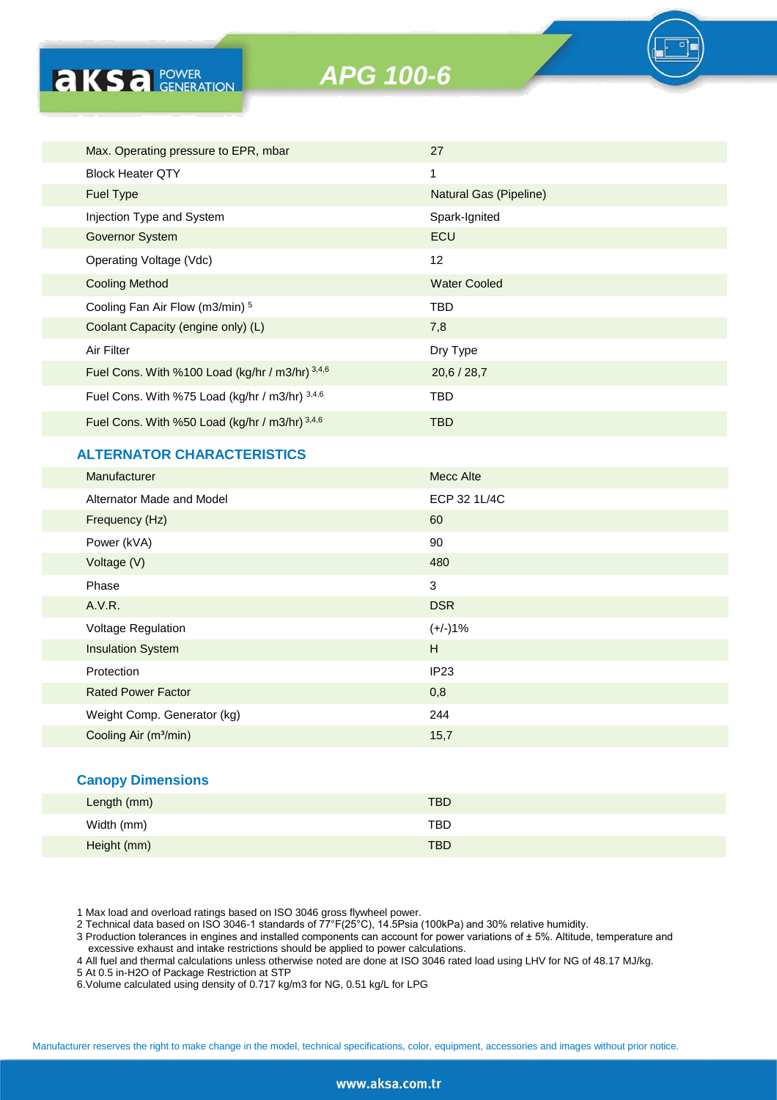

| Max. Operating pressure to EPR, mbar            | 27                     |
|-------------------------------------------------|------------------------|
| <b>Block Heater QTY</b>                         | 1                      |
| <b>Fuel Type</b>                                | Natural Gas (Pipeline) |
| Injection Type and System                       | Spark-Ignited          |
| Governor System                                 | ECU                    |
| Operating Voltage (Vdc)                         | 12                     |
| <b>Cooling Method</b>                           | <b>Water Cooled</b>    |
| Cooling Fan Air Flow (m3/min) 5                 | TBD                    |
| Coolant Capacity (engine only) (L)              | 7,8                    |
| Air Filter                                      | Dry Type               |
| Fuel Cons. With %100 Load (kg/hr / m3/hr) 3,4,6 | 20,6/28,7              |
| Fuel Cons. With %75 Load (kg/hr / m3/hr) 3,4,6  | TBD                    |
| Fuel Cons. With %50 Load (kg/hr / m3/hr) 3,4,6  | TBD                    |
|                                                 |                        |

#### **ALTERNATOR CHARACTERISTICS**

**AKSA POWER** 

| Manufacturer                      | <b>Mecc Alte</b> |
|-----------------------------------|------------------|
| Alternator Made and Model         | ECP 32 1L/4C     |
| Frequency (Hz)                    | 60               |
| Power (kVA)                       | 90               |
| Voltage (V)                       | 480              |
| Phase                             | $\mathbf{3}$     |
| A.V.R.                            | <b>DSR</b>       |
| Voltage Regulation                | $(+/-)1%$        |
| <b>Insulation System</b>          | H                |
| Protection                        | IP <sub>23</sub> |
| <b>Rated Power Factor</b>         | 0,8              |
| Weight Comp. Generator (kg)       | 244              |
| Cooling Air (m <sup>3</sup> /min) | 15,7             |

#### **Canopy Dimensions**

| Length (mm) | <b>TBD</b> |  |
|-------------|------------|--|
| Width (mm)  | TBD        |  |
| Height (mm) | <b>TBD</b> |  |

1 Max load and overload ratings based on ISO 3046 gross flywheel power.

2 Technical data based on ISO 3046-1 standards of 77°F(25°C), 14.5Psia (100kPa) and 30% relative humidity.

3 Production tolerances in engines and installed components can account for power variations of ± 5%. Altitude, temperature and excessive exhaust and intake restrictions should be applied to power calculations.

4 All fuel and thermal calculations unless otherwise noted are done at ISO 3046 rated load using LHV for NG of 48.17 MJ/kg.

5 At 0.5 in-H2O of Package Restriction at STP

6.Volume calculated using density of 0.717 kg/m3 for NG, 0.51 kg/L for LPG

Manufacturer reserves the right to make change in the model, technical specifications, color, equipment, accessories and images without prior notice.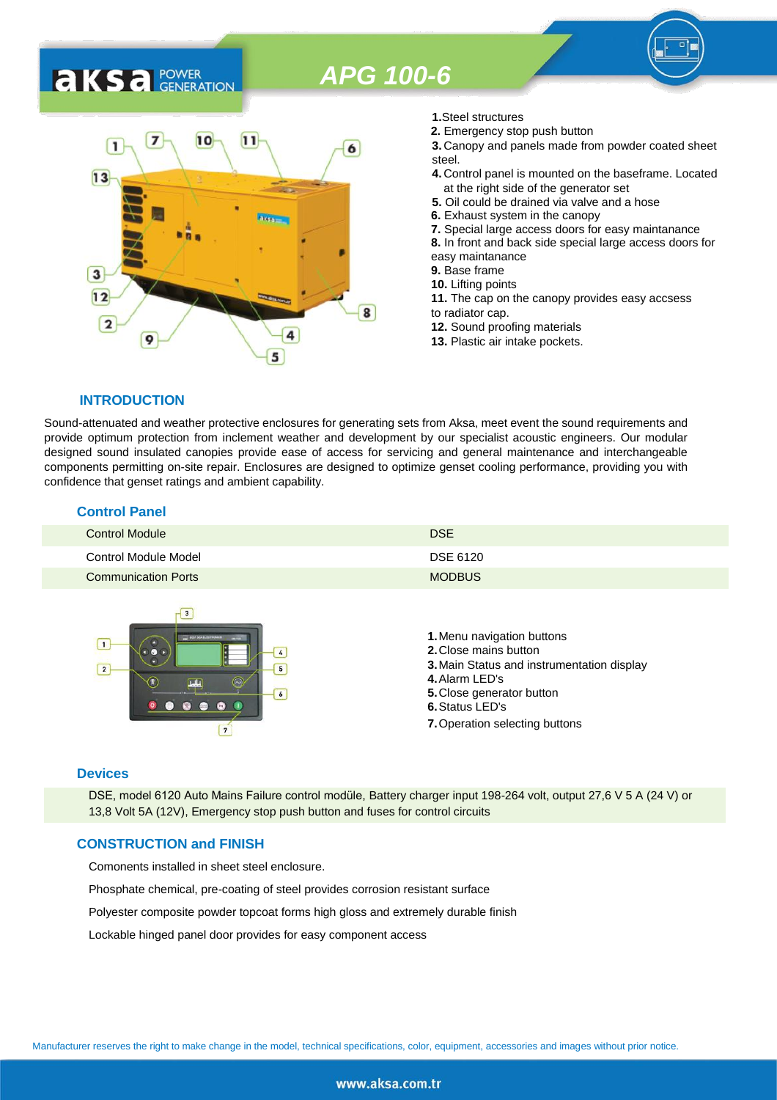### 7  $10$  $11$ 1 6  $13$ 3  $12$ 8  $\overline{2}$ 9 5

- **1.**Steel structures
- **2.** Emergency stop push button
- **3.** Canopy and panels made from powder coated sheet steel.
- **4.** Control panel is mounted on the baseframe. Located at the right side of the generator set
- **5.** Oil could be drained via valve and a hose
- **6.** Exhaust system in the canopy
- **7.** Special large access doors for easy maintanance
- **8.** In front and back side special large access doors for
- easy maintanance
- **9.** Base frame
- **10.** Lifting points
- **11.** The cap on the canopy provides easy accsess to radiator cap.
- **12.** Sound proofing materials
- **13.** Plastic air intake pockets.

#### **INTRODUCTION**

**AKS** *C C <b>C GENERATION* 

Sound-attenuated and weather protective enclosures for generating sets from Aksa, meet event the sound requirements and provide optimum protection from inclement weather and development by our specialist acoustic engineers. Our modular designed sound insulated canopies provide ease of access for servicing and general maintenance and interchangeable components permitting on-site repair. Enclosures are designed to optimize genset cooling performance, providing you with confidence that genset ratings and ambient capability.

#### **Control Panel**

| <b>Control Module</b>      | <b>DSE</b>    |
|----------------------------|---------------|
| Control Module Model       | DSE 6120      |
| <b>Communication Ports</b> | <b>MODBUS</b> |



#### **Devices**

DSE, model 6120 Auto Mains Failure control modüle, Battery charger input 198-264 volt, output 27,6 V 5 A (24 V) or 13,8 Volt 5A (12V), Emergency stop push button and fuses for control circuits

#### **CONSTRUCTION and FINISH**

Comonents installed in sheet steel enclosure.

Phosphate chemical, pre-coating of steel provides corrosion resistant surface

Polyester composite powder topcoat forms high gloss and extremely durable finish

Lockable hinged panel door provides for easy component access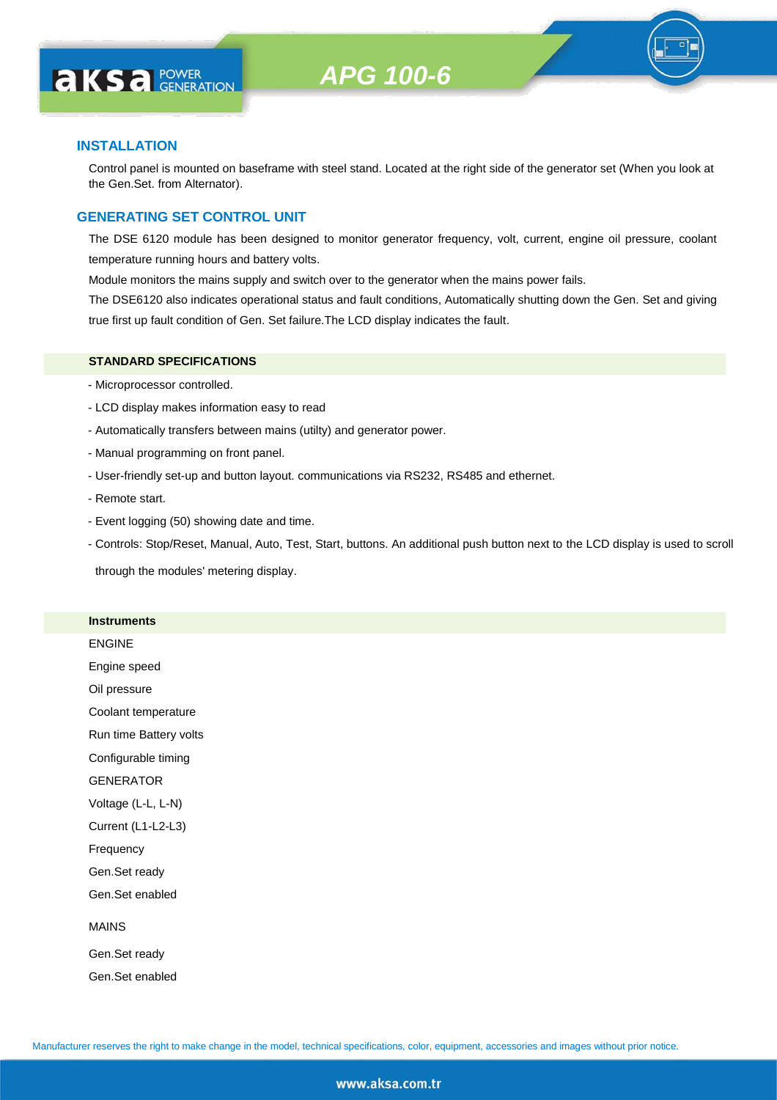

#### **INSTALLATION**

**AKS** *C C <b>C GENERATION* 

Control panel is mounted on baseframe with steel stand. Located at the right side of the generator set (When you look at the Gen.Set. from Alternator).

#### **GENERATING SET CONTROL UNIT**

The DSE 6120 module has been designed to monitor generator frequency, volt, current, engine oil pressure, coolant temperature running hours and battery volts.

Module monitors the mains supply and switch over to the generator when the mains power fails.

The DSE6120 also indicates operational status and fault conditions, Automatically shutting down the Gen. Set and giving true first up fault condition of Gen. Set failure.The LCD display indicates the fault.

#### **STANDARD SPECIFICATIONS**

- Microprocessor controlled.
- LCD display makes information easy to read
- Automatically transfers between mains (utilty) and generator power.
- Manual programming on front panel.
- User-friendly set-up and button layout. communications via RS232, RS485 and ethernet.
- Remote start.
- Event logging (50) showing date and time.
- Controls: Stop/Reset, Manual, Auto, Test, Start, buttons. An additional push button next to the LCD display is used to scroll

through the modules' metering display.

#### **Instruments**

ENGINE

Engine speed

Oil pressure

Coolant temperature

Run time Battery volts

Configurable timing

GENERATOR

Voltage (L-L, L-N)

Current (L1-L2-L3)

Frequency

Gen.Set ready

Gen.Set enabled

#### MAINS

Gen.Set ready Gen.Set enabled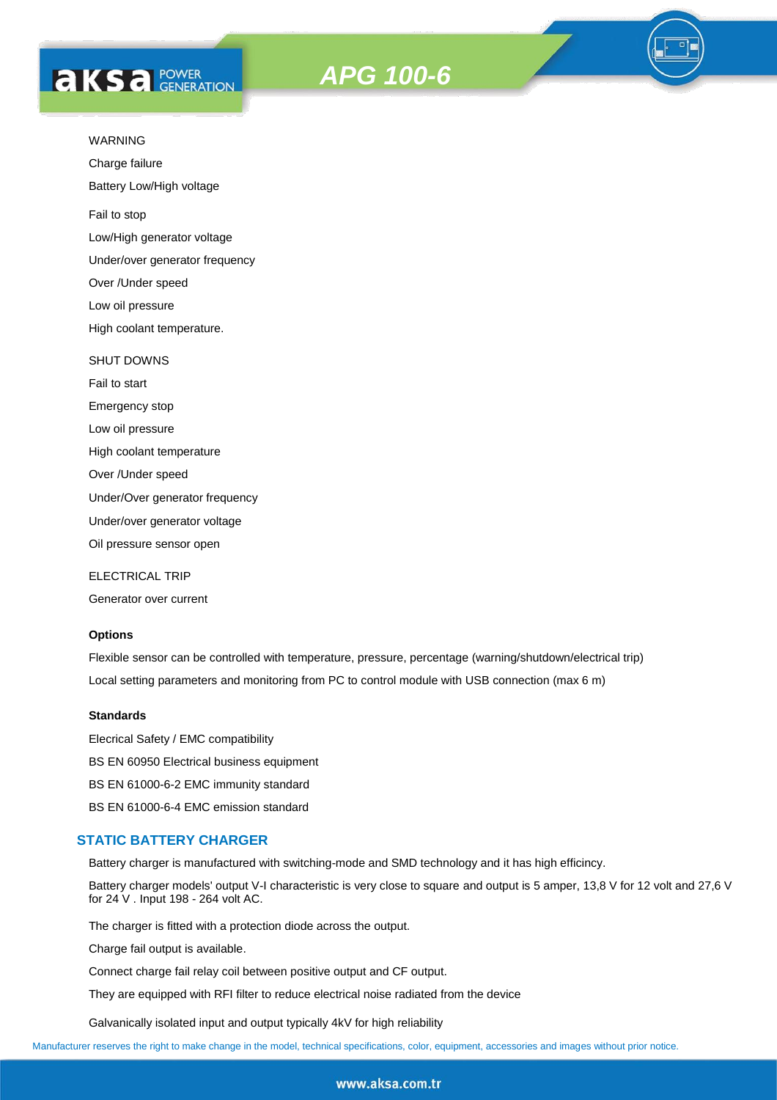# **AKSA POWER**





Charge failure

Battery Low/High voltage

Fail to stop

Low/High generator voltage

Under/over generator frequency

Over /Under speed

Low oil pressure

High coolant temperature.

#### SHUT DOWNS

Fail to start Emergency stop Low oil pressure High coolant temperature Over /Under speed Under/Over generator frequency Under/over generator voltage

Oil pressure sensor open

ELECTRICAL TRIP

Generator over current

#### **Options**

Flexible sensor can be controlled with temperature, pressure, percentage (warning/shutdown/electrical trip) Local setting parameters and monitoring from PC to control module with USB connection (max 6 m)

#### **Standards**

Elecrical Safety / EMC compatibility BS EN 60950 Electrical business equipment BS EN 61000-6-2 EMC immunity standard BS EN 61000-6-4 EMC emission standard

#### **STATIC BATTERY CHARGER**

Battery charger is manufactured with switching-mode and SMD technology and it has high efficincy.

Battery charger models' output V-I characteristic is very close to square and output is 5 amper, 13,8 V for 12 volt and 27,6 V for 24 V . Input 198 - 264 volt AC.

The charger is fitted with a protection diode across the output.

Charge fail output is available.

Connect charge fail relay coil between positive output and CF output.

They are equipped with RFI filter to reduce electrical noise radiated from the device

Galvanically isolated input and output typically 4kV for high reliability

Manufacturer reserves the right to make change in the model, technical specifications, color, equipment, accessories and images without prior notice.

#### www.aksa.com.tr